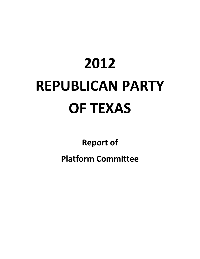# **2012 REPUBLICAN PARTY OF TEXAS**

**Report of**

**Platform Committee**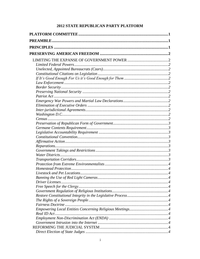## 2012 STATE REPUBLICAN PARTY PLATFORM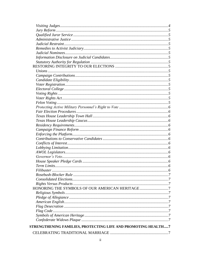| Filibuster                                                    |  |
|---------------------------------------------------------------|--|
|                                                               |  |
|                                                               |  |
| HONORING THE SYMBOLS OF OUR AMERICAN HERITAGE7                |  |
|                                                               |  |
|                                                               |  |
|                                                               |  |
|                                                               |  |
|                                                               |  |
|                                                               |  |
|                                                               |  |
| STRENGTHENING FAMILIES, PROTECTING LIFE AND PROMOTING HEALTH7 |  |
|                                                               |  |
|                                                               |  |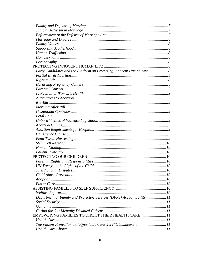| Party Candidates and the Platform on Protecting Innocent Human Life8 |  |
|----------------------------------------------------------------------|--|
|                                                                      |  |
|                                                                      |  |
|                                                                      |  |
|                                                                      |  |
|                                                                      |  |
|                                                                      |  |
|                                                                      |  |
|                                                                      |  |
|                                                                      |  |
|                                                                      |  |
|                                                                      |  |
|                                                                      |  |
|                                                                      |  |
|                                                                      |  |
|                                                                      |  |
|                                                                      |  |
|                                                                      |  |
|                                                                      |  |
|                                                                      |  |
|                                                                      |  |
|                                                                      |  |
|                                                                      |  |
|                                                                      |  |
|                                                                      |  |
|                                                                      |  |
|                                                                      |  |
|                                                                      |  |
| Department of Family and Protective Services (DFPS) Accountability11 |  |
|                                                                      |  |
|                                                                      |  |
|                                                                      |  |
| EMPOWERING FAMILIES TO DIRECT THEIR HEALTH CARE  11                  |  |
|                                                                      |  |
| The Patient Protection and Affordable Care Act ("Obamacare") 11      |  |
|                                                                      |  |
|                                                                      |  |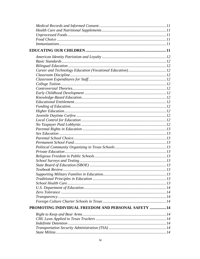| Textbook Review.                                     |  |
|------------------------------------------------------|--|
|                                                      |  |
|                                                      |  |
|                                                      |  |
|                                                      |  |
|                                                      |  |
|                                                      |  |
|                                                      |  |
| PROMOTING INDIVIDUAL FREEDOM AND PERSONAL SAFETY  14 |  |
|                                                      |  |
|                                                      |  |
|                                                      |  |
|                                                      |  |
|                                                      |  |
|                                                      |  |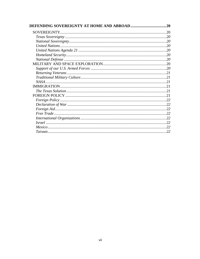| 20 |
|----|
|    |
|    |
|    |
|    |
|    |
|    |
|    |
|    |
|    |
|    |
|    |
|    |
|    |
|    |
|    |
|    |
|    |
|    |
|    |
|    |
|    |
|    |
|    |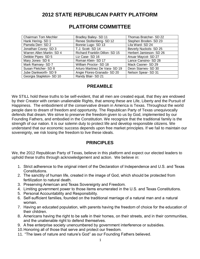# **2012 STATE REPUBLICAN PARTY PLATFORM**

# **PLATFORM COMMITTEE**

| <b>Chairman Tom Mechler</b> | <b>Bradley Bailey- SD 11</b>  | Thomas Bratcher- SD 22  |
|-----------------------------|-------------------------------|-------------------------|
| Hank Hering-SD 1            | Renee Stoltenberg- SD 12      | Stephen Broden-SD 23    |
| Pamela Derr-SD 2            | Bonnie Lugo-SD 13             | Lila Ward-SD 24         |
| Jonathan Covey-SD 3         | T.J. Scott-SD 14              | Beverly Nuckols- SD 25  |
| Warren Allen Martin- SD 4   | Richard Franklin Dillon-SD 15 | Herbert Jamieson- SD 26 |
| Debbie Pipes-SD 5           | Liz Case-SD 16                | Anuar Maycot-SD 27      |
| Mary Jones-SD 6             | Roman Klein-SD 17             | Lance Cansino- SD 28    |
| Mark Ramsey- SD 7           | William Proctor- SD 18        | Mack Casner- SD 29      |
| Susan Fletcher- SD 8        | Arturo Martinez De Vara-SD 19 | Deon Starnes- SD 30     |
| Jube Dankworth-SD 9         | Angie Flores-Granado- SD 20   | Nelson Spear-SD 31      |
| Georgia Stapleton- SD 10    | Randy Blair-SD 21             |                         |

## **PREAMBLE**

We STILL hold these truths to be self-evident, that all men are created equal, that they are endowed by their Creator with certain unalienable Rights, that among these are Life, Liberty and the Pursuit of Happiness. The embodiment of the conservative dream in America is Texas. Throughout the world people dare to dream of freedom and opportunity. The Republican Party of Texas unequivocally defends that dream. We strive to preserve the freedom given to us by God, implemented by our Founding Fathers, and embodied in the Constitution. We recognize that the traditional family is the strength of our nation. It is our solemn duty to protect life and develop responsible citizens. We understand that our economic success depends upon free market principles. If we fail to maintain our sovereignty, we risk losing the freedom to live these ideals.

## **PRINCIPLES**

We, the 2012 Republican Party of Texas, believe in this platform and expect our elected leaders to uphold these truths through acknowledgement and action. We believe in:

- 1. Strict adherence to the original intent of the Declaration of Independence and U.S. and Texas Constitutions.
- 2. The sanctity of human life, created in the image of God, which should be protected from fertilization to natural death.
- 3. Preserving American and Texas Sovereignty and Freedom.
- 4. Limiting government power to those items enumerated in the U.S. and Texas Constitutions.
- 5. Personal Accountability and Responsibility.
- 6. Self-sufficient families, founded on the traditional marriage of a natural man and a natural woman.
- 7. Having an educated population, with parents having the freedom of choice for the education of their children.
- 8. Americans having the right to be safe in their homes, on their streets, and in their communities, and the unalienable right to defend themselves.
- 9. A free enterprise society unencumbered by government interference or subsidies.
- 10.Honoring all of those that serve and protect our freedom.
- 11. "The laws of nature and nature's God" as our Founding Fathers believed.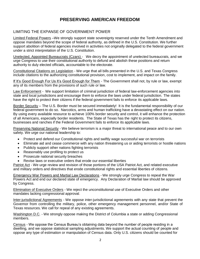## **PRESERVING AMERICAN FREEDOM**

## LIMITING THE EXPANSE OF GOVERNMENT POWER

Limited Federal Powers –We strongly support state sovereignty reserved under the Tenth Amendment and oppose mandates beyond the scope of federal authority, as defined in the U.S. Constitution. We further support abolition of federal agencies involved in activities not originally delegated to the federal government under a strict interpretation of the U.S. Constitution.

Unelected, Appointed Bureaucrats (Czars) - We decry the appointment of unelected bureaucrats, and we urge Congress to use their constitutional authority to defund and abolish these positions and return authority to duly elected officials, accountable to the electorate.

Constitutional Citations on Legislation - We urge that all bills presented in the U.S. and Texas Congress include citations to the authorizing constitutional provision, cost to implement, and impact on the family.

If It's Good Enough For Us It's Good Enough for Them - The Government shall not, by rule or law, exempt any of its members from the provisions of such rule or law.

Law Enforcement - We support limitation of criminal jurisdiction of federal law-enforcement agencies into state and local jurisdictions and encourage them to enforce the laws under federal jurisdiction. The states have the right to protect their citizens if the federal government fails to enforce its applicable laws.

Border Security – The U.S. Border must be secured immediately! It is the fundamental responsibility of our federal government to do so. Narcotics, arms and human trafficking have a devastating effect on our nation. By using every available resource to achieve 100% border security and control, it will enhance the protection of all Americans, especially border residents. The State of Texas has the right to protect its citizens, businesses and ranches if the Federal Government fails to enforce its applicable laws.

Preserving National Security - We believe terrorism is a major threat to international peace and to our own safety. We urge our national leadership to:

- Protect and defend our Constitutional rights and swiftly wage successful war on terrorists
- Eliminate aid and cease commerce with any nation threatening us or aiding terrorists or hostile nations
- Publicly support other nations fighting terrorists
- Reasonably use profiling to protect us
- Prosecute national security breaches
- Revise laws or executive orders that erode our essential liberties

Patriot Act - We urge review and revision of those portions of the USA Patriot Act, and related executive and military orders and directives that erode constitutional rights and essential liberties of citizens.

Emergency War Powers and Martial Law Declarations - We strongly urge Congress to repeal the War Powers Act and end our declared state of emergency. Any Declaration of Martial law should be approved by Congress.

Elimination of Executive Orders - We reject the unconstitutional use of Executive Orders and other mandates lacking congressional approval.

Inter-jurisdictional Agreements - We oppose inter-jurisdictional agreements with any state that prevent the Governor from controlling the military, police, other emergency management personnel, and/or State of Texas resources. We call for repeal of any existing agreements.

Washington D.C. - We strongly oppose making the District of Columbia a state or adding Congressional members.

Census - We oppose the Census Bureau's obtaining data beyond the number of people residing in a dwelling, and we oppose statistical sampling adjustments. We support the actual counting of people and oppose any type of estimation or manipulation of Census data. Only U.S. citizens should be counted for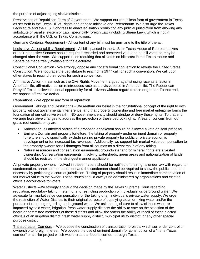the purpose of adjusting legislative districts.

Preservation of Republican Form of Government - We support our republican form of government in Texas as set forth in the Texas Bill of Rights and oppose Initiative and Referendum. We also urge the Texas Legislature and the U.S. Congress to enact legislation prohibiting any judicial jurisdiction from allowing any substitute or parallel system of Law, specifically foreign Law (including Sharia Law), which is not in accordance with the U.S. or Texas Constitutions.

Germane Contents Requirement - All content of any bill must be germane to the title of the act.

Legislative Accountability Requirement - All bills passed in the U. S. or Texas House of Representatives or their respective Senates should require a recorded and preserved vote, and no bill voted on may be changed after the vote. We support rules requiring that all votes on bills cast in the Texas House and Senate be made freely available to the electorate.

Constitutional Convention - We strongly oppose any constitutional convention to rewrite the United States Constitution. We encourage the Legislature to rescind its 1977 call for such a convention. We call upon other states to rescind their votes for such a convention.

Affirmative Action - Inasmuch as the Civil Rights Movement argued against using race as a factor in American life, affirmative action reintroduces race as a divisive force in American life. The Republican Party of Texas believes in equal opportunity for all citizens without regard to race or gender. To that end, we oppose affirmative action.

Reparations - We oppose any form of reparation.

Government Takings and Restrictions - We reaffirm our belief in the constitutional concept of the right to own property without governmental interference, and that property ownership and free market enterprise forms the foundation of our collective wealth. NO government entity should abridge or deny these rights. To that end we urge legislative changes to address the protection of these bedrock rights. Areas of concern from our grass root constituency are:

- Annexation; all affected parties of a proposed annexation should be allowed a vote on said proposal.
- Eminent Domain and property forfeiture; the taking of property under eminent domain or property forfeiture should specifically exclude seizing private property for public or private economic development or for increased tax revenues. Additionally, we support fair market value compensation to the property owners for all damages from all sources as a direct result of any taking.
- Natural resources and conservation easements; groundwater and/or mineral rights are a vested ownership. Conservation easements, involving watersheds, green areas and nationalization of lands should be resisted in the strongest manner applicable.

All private property owners involved in these matters should be notified of their rights under law with regard to condemnation, annexation or easement and the condemner should be required to show the public need and necessity by petitioning a court of jurisdiction. Taking of property should result in immediate compensation of fair market value to the owner. These issues should always be administered by organizations and elected officials accountable to voters.

Water Districts –We strongly applaud the decision made by the Texas Supreme Court regarding regulation, regulatory taking, metering, and restricting production of individuals' underground water. We advocate fair market value compensation for the taking of an individual's private water supply. We urge the restriction of Water Districts to their original purpose of supplying clean drinking water and/or the purpose of reporting regarding underground water. We ask the legislature to allow citizens who are impacted by said water, irrigation, fresh water supply districts the ability to vote on the selection of the board or committee members of these districts and allow the voters the ability of recall of these elected officials of an irrigation district, fresh water supply district, municipal utility district, or any other special purpose district.

Transportation Corridors – We oppose the construction of transportation projects which surrender control or ownership to foreign interest. We oppose the use of eminent domain for construction of a "trans-Texas corridor" or similar project which would create a federal corridor through Texas.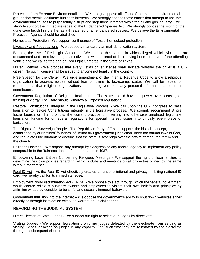Protection from Extreme Environmentalists – We strongly oppose all efforts of the extreme environmental groups that stymie legitimate business interests. We strongly oppose those efforts that attempt to use the environmental causes to purposefully disrupt and stop those interests within the oil and gas industry. We strongly support the immediate repeal of the Endangered Species Act. We strongly oppose the listing of the dune sage brush lizard either as a threatened or an endangered species. We believe the Environmental Protection Agency should be abolished.

Homestead Protection - We support continuance of Texas' homestead protection.

Livestock and Pet Locations - We oppose a mandatory animal identification system.

Banning the Use of Red Light Cameras – We oppose the manner in which alleged vehicle violations are documented and fines levied against individuals without proof of their having been the driver of the offending vehicle and we call for the ban on Red Light Cameras in the State of Texas

Driver Licenses - We propose that every Texas driver license shall indicate whether the driver is a U.S. citizen. No such license shall be issued to anyone not legally in the country.

Free Speech for the Clergy - We urge amendment of the Internal Revenue Code to allow a religious organization to address issues without fear of losing its tax-exempt status. We call for repeal of requirements that religious organizations send the government any personal information about their contributors.

Government Regulation of Religious Institutions - The state should have no power over licensing or training of clergy. The State should withdraw all imposed regulations.

Restore Constitutional Integrity in the Legislative Process - We call upon the U.S. congress to pass legislation to restore Constitutional integrity in the legislative process. We strongly recommend Single Issue Legislation that prohibits the current practice of inserting into otherwise unrelated legitimate legislation funding for or federal regulations for special interest issues into virtually every piece of legislation.

The Rights of a Sovereign People - The Republican Party of Texas supports the historic concept, established by our nations' founders, of limited civil government jurisdiction under the natural laws of God, and repudiates the humanistic doctrine that the state is sovereign over the affairs of men, the family and the church.

Fairness Doctrine - We oppose any attempt by Congress or any federal agency to implement any policy comparable to the "fairness doctrine" as terminated in 1987.

Empowering Local Entities Concerning Religious Meetings - We support the right of local entities to determine their own policies regarding religious clubs and meetings on all properties owned by the same without interference.

Real ID Act - As the Real ID Act effectively creates an unconstitutional and privacy-inhibiting national ID card, we hereby call for its immediate repeal.

Employment Non-Discrimination Act (ENDA) - We oppose this act through which the federal government would coerce religious business owners and employees to violate their own beliefs and principles by affirming what they consider to be sinful and sexually immoral behavior.

Government Intrusion into the Internet – We oppose the government's ability to shut down websites either directly or through intimidation without a warrant or judicial hearing.

#### REFORMING THE JUDICIAL SYSTEM

Direct Election of State Judges - We support our right to select our judges by direct vote.

Visiting Judges - We support legislation prohibiting judges defeated by the electorate from serving as visiting judges, or acting as judges in any capacity, until such time they are reinstated by the electorate through a subsequent election.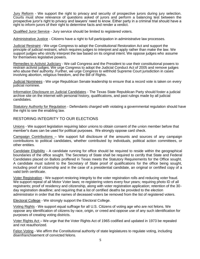Jury Reform - We support the right to privacy and security of prospective jurors during jury selection. Courts must show relevance of questions asked of jurors and perform a balancing test between the prospective juror's right to privacy and lawyers' need to know. Either party in a criminal trial should have a right to inform jurors of their right to determine facts and render a verdict.

Qualified Juror Service - Jury service should be limited to registered voters.

Administrative Justice - Citizens have a right to full participation in administrative law processes.

Judicial Restraint - We urge Congress to adopt the Constitutional Restoration Act and support the principle of judicial restraint, which requires judges to interpret and apply rather than make the law. We support judges who strictly interpret the law based on its original intent. We oppose judges who assume for themselves legislative powers.

Remedies to Activist Judiciary - We call Congress and the President to use their constitutional powers to restrain activist judges. We urge Congress to adopt the Judicial Conduct Act of 2005 and remove judges who abuse their authority. Further, we urge Congress to withhold Supreme Court jurisdiction in cases involving abortion, religious freedom, and the Bill of Rights.

Judicial Nominees - We urge Republican Senate leadership to ensure that a record vote is taken on every judicial nominee.

Information Disclosure on Judicial Candidates - The Texas State Republican Party should foster a judicial archive site on the internet with personal history, qualifications, and past rulings made by all judicial candidates.

Statutory Authority for Regulation - Defendants charged with violating a governmental regulation should have the right to see the enabling law.

#### RESTORING INTEGRITY TO OUR ELECTIONS

Unions - We support legislation requiring labor unions to obtain consent of the union member before that member's dues can be used for political purposes. We strongly oppose card check.

Campaign Contributions – We support full disclosure of the amounts and sources of any campaign contributions to political candidates, whether contributed by individuals, political action committees, or other entities.

Candidate Eligibility - A candidate running for office should be required to reside within the geographical boundaries of the office sought. The Secretary of State shall be required to certify that State and Federal Candidates placed on Ballots proffered in Texas meets the Statutory Requirements for the Office sought. A candidate must submit to the Secretary of State proof of qualifications for the office being sought, including proof of citizenship and in the case of a presidential candidate, an original or certified copy of a valid birth certificate.

Voter Registration - We support restoring integrity to the voter registration rolls and reducing voter fraud. We support repeal of all Motor Voter laws; re-registering voters every four years; requiring photo ID of all registrants; proof of residency and citizenship, along with voter registration application; retention of the 30 day registration deadline; and requiring that a list of certified deaths be provided to the election administrator in order that the names of deceased voters be removed from the list of registered voters.

Electoral College - We strongly support the Electoral College.

Voting Rights - We support equal suffrage for all U.S. Citizens of voting age who are not felons. We oppose any identification of citizens by race, origin, or creed and oppose use of any such identification for purposes of creating voting districts.

Voter Rights Act – We urge that the Voter Rights Act of 1965 codified and updated in 1973 be repealed and not reauthorized.

Felon Voting - We affirm the Constitutional authority of state legislatures to regulate voting, including disenfranchisement of convicted felons.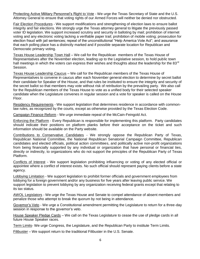Protecting Active Military Personnel's Right to Vote - We urge the Texas Secretary of State and the U.S. Attorney General to ensure that voting rights of our Armed Forces will neither be denied nor obstructed.

Fair Election Procedures - We support modifications and strengthening of election laws to ensure ballot integrity and fair elections. We strongly urge the Texas attorney general to litigate the previously passed voter ID legislation. We support increased scrutiny and security in balloting by mail; prohibition of internet voting and any electronic voting lacking a verifiable paper trail; prohibition of mobile voting; prosecution for election fraud with jail sentences; repeal of the unconstitutional "Help America Vote Act"; and assurance that each polling place has a distinctly marked and if possible separate location for Republican and Democratic primary voting.

Texas House Leadership Town Hall – We call for the Republican members of the Texas House of Representatives after the November election, leading up to the Legislative session, to hold public town hall meetings in which the voters can express their wishes and thoughts about the leadership for the 83<sup>rd</sup> Session.

Texas House Leadership Caucus – We call for the Republican members of the Texas House of Representatives to convene in caucus after each November general election to determine by secret ballot their candidate for Speaker of the House, and that rules be instituted to ensure the integrity and security of the secret ballot so that members may vote without risk of retribution by the prevailing party. We also call for the Republican members of the Texas House to vote as a unified body for their selected speaker candidate when the Legislature convenes in regular session and a vote for speaker is called on the House Floor.

Residency Requirements - We support legislation that determines residence in accordance with commonlaw rules, as recognized by the courts, except as otherwise provided by the Texas Election Code.

Campaign Finance Reform - We urge immediate repeal of the McCain-Feingold Act.

Enforcing the Platform - Every Republican is responsible for implementing this platform. Party candidates should indicate their positions on platform planks before their acceptance on the ticket and such information should be available on the Party website.

Contributions to Conservative Candidates - We strongly oppose the Republican Party of Texas, Republican National Committee, the National Republican Senatorial Campaign Committee, Republican candidates and elected officials, political action committees, and politically active non-profit organizations from being financially supported by any individual or organization that have personal or financial ties, directly or indirectly, to organizations who do not support the principles of the Republican Party of Texas Platform.

Conflicts of Interest - We support legislation prohibiting influencing or voting of any elected official or appointee where a conflict of interest exists. No such official should represent paying clients before a state agency.

Lobbying Limitation - We support legislation to prohibit former officials and government employees from lobbying for a foreign government and/or any business for five years after leaving public service. We support legislation to prevent lobbying by any organization receiving federal grants except that relating to its tax status.

AWOL Legislators - We urge the Texas House and Senate to compel attendance of absent members and penalize those who attempt to break the quorum by not being in attendance.

Governor's Veto - We urge a Constitutional amendment permitting the Legislature to return for a three-day session in response to the governor's veto.

House Speaker Pledge Cards – We call on the Texas Legislature to cease the use of pledge cards in all future House Speaker races.

Term Limits- We urge Congress, the Legislature, and the Republican Party to institute Term Limits.

Filibuster – We support return to the traditional Filibuster in the U.S. Senate.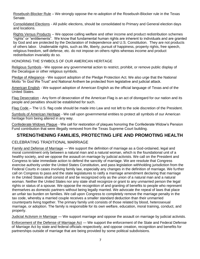Rosebush-Blocker Rule – We strongly oppose the re-adoption of the Rosebush-Blocker rule in the Texas Senate.

Consolidated Elections - All public elections, should be consolidated to Primary and General election days and locations.

Rights Versus Products -- We oppose calling welfare and other income and product redistribution schemes "rights" or "entitlements". We know that fundamental human rights are inherent to individuals and are granted by God and are protected by the Declaration of Independence and U.S. Constitution. They are not products of others labor. Unalienable rights, such as life, liberty, pursuit of happiness, property rights, free speech, religious freedom, self-defense, etc. do not impose on others rights whereas income and product redistribution invariably do so.

#### HONORING THE SYMBOLS OF OUR AMERICAN HERITAGE

Religious Symbols - We oppose any governmental action to restrict, prohibit, or remove public display of the Decalogue or other religious symbols.

Pledge of Allegiance - We support adoption of the Pledge Protection Act. We also urge that the National Motto "In God We Trust" and National Anthem be protected from legislative and judicial attack.

American English - We support adoption of American English as the official language of Texas and of the United States.

Flag Desecration - Any form of desecration of the American Flag is an act of disregard for our nation and its people and penalties should be established for such.

Flag Code – The U.S. flag code should be made into Law and not left to the sole discretion of the President.

Symbols of American Heritage - We call upon governmental entities to protect all symbols of our American heritage from being altered in any way.

Confederate Widows Plaque - We call for restoration of plaques honoring the Confederate Widow's Pension Fund contribution that were illegally removed from the Texas Supreme Court building.

## **STRENGTHENING FAMILIES, PROTECTING LIFE AND PROMOTING HEALTH**

### CELEBRATING TRADITIONAL MARRIAGE

Family and Defense of Marriage ― We support the definition of marriage as a God-ordained, legal and moral commitment only between a natural man and a natural woman, which is the foundational unit of a healthy society, and we oppose the assault on marriage by judicial activists. We call on the President and Congress to take immediate action to defend the sanctity of marriage. We are resolute that Congress exercise authority under the United States Constitution, and pass legislation withholding jurisdiction from the Federal Courts in cases involving family law, especially any changes in the definition of marriage. We further call on Congress to pass and the state legislatures to ratify a marriage amendment declaring that marriage in the United States shall consist of and be recognized only as the union of a natural man and a natural woman. Neither the United States nor any state shall recognize or grant to any unmarried person the legal rights or status of a spouse. We oppose the recognition of and granting of benefits to people who represent themselves as domestic partners without being legally married. We advocate the repeal of laws that place an unfair tax burden on families. We call upon Congress to completely remove the marriage penalty in the tax code, whereby a married couple receives a smaller standard deduction than their unmarried counterparts living together. The primary family unit consists of those related by blood, heterosexual marriage, or adoption. The family is responsible for its own welfare, education, moral training, conduct, and property.

Judicial Activism in Marriage ― We support marriage and oppose the assault on marriage by judicial activists.

Enforcement of the Defense of Marriage Act — We support the enforcement of the State and Federal Defense of Marriage Act by state and federal officials respectively, and oppose creation, recognition and benefits for partnerships outside of marriage that are being provided by some political subdivisions.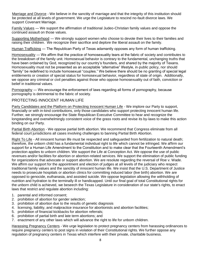Marriage and Divorce - We believe in the sanctity of marriage and that the integrity of this institution should be protected at all levels of government. We urge the Legislature to rescind no-fault divorce laws. We support Covenant Marriage.

Family Values ― We support the affirmation of traditional Judeo-Christian family values and oppose the continued assault on those values.

Supporting Motherhood ― We strongly support women who choose to devote their lives to their families and raising their children. We recognize their sacrifice and deplore the liberal assault on the family.

Human Trafficking ― The Republican Party of Texas adamantly opposes any form of human trafficking.

Homosexuality ― We affirm that the practice of homosexuality tears at the fabric of society and contributes to the breakdown of the family unit. Homosexual behavior is contrary to the fundamental, unchanging truths that have been ordained by God, recognized by our country's founders, and shared by the majority of Texans. Homosexuality must not be presented as an acceptable "alternative" lifestyle, in public policy, nor should "family" be redefined to include homosexual "couples." We believe there should be no granting of special legal entitlements or creation of special status for homosexual behavior, regardless of state of origin. Additionally, we oppose any criminal or civil penalties against those who oppose homosexuality out of faith, conviction or belief in traditional values.

Pornography ― We encourage the enforcement of laws regarding all forms of pornography, because pornography is detrimental to the fabric of society.

#### PROTECTING INNOCENT HUMAN LIFE

Party Candidates and the Platform on Protecting Innocent Human Life - We implore our Party to support, financially or with in-kind contributions, only those candidates who support protecting innocent human life. Further, we strongly encourage the State Republican Executive Committee to hear and recognize the longstanding and overwhelmingly consistent voice of the grass roots and revise its by-laws to make this action binding on our Party.

Partial Birth Abortion - We oppose partial birth abortion. We recommend that Congress eliminate from all federal court jurisdictions all cases involving challenges to banning Partial Birth Abortion.

Right To Life - All innocent human life must be respected and safeguarded from fertilization to natural death; therefore, the unborn child has a fundamental individual right to life which cannot be infringed. We affirm our support for a Human Life Amendment to the Constitution and to make clear that the Fourteenth Amendment's protection applies to unborn children. We support the Life at Conception Act. We oppose the use of public revenues and/or facilities for abortion or abortion-related services. We support the elimination of public funding for organizations that advocate or support abortion. We are resolute regarding the reversal of Roe v. Wade. We affirm our support for the appointment and election of judges at all levels of the judiciary who respect traditional family values and the sanctity of innocent human life. We insist that the U.S. Department of Justice needs to prosecute hospitals or abortion clinics for committing induced labor (live birth) abortion. We are opposed to genocide, euthanasia, and assisted suicide. We oppose legislation allowing the withholding of nutrition and hydration to the terminally ill or handicapped. Until our final goal of total Constitutional rights for the unborn child is achieved, we beseech the Texas Legislature in consideration of our state's rights, to enact laws that restrict and regulate abortion including:

- 1. parental and informed consent;
- 2. prohibition of abortion for gender selection;
- 3. prohibition of abortion due to the results of genetic diagnosis
- 4. licensing, liability, and malpractice insurance for abortionists and abortion facilities;
- 5. prohibition of financial kickbacks for abortion referrals;
- 6. prohibition of partial birth and late term abortions; and
- 7. enactment of any other laws which will advance the right to life for unborn children.

Harassing Pregnancy Centers - We urge legislation to protect pregnancy centers from harassing ordinances to require pregnancy centers to post signs in violation of their Constitutional rights. We further oppose any regulation of pregnancy centers in Texas which interfere with their private, charitable business.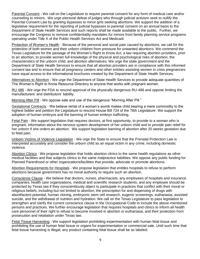Parental Consent - We call on the Legislature to require parental consent for any form of medical care and/or counseling to minors. We urge electoral defeat of judges who through judicial activism seek to nullify the Parental Consent Law by granting bypasses to minor girls seeking abortions. We support the addition of a legislative requirement for the reporting of judicial bypasses to parental consent on an annual basis to the Department of State Health Services and such reports shall be made available to the public. Further, we encourage the Congress to remove confidentiality mandates for minors from family planning service programs operating under Title X of the Public Health Services Act and Medicaid.

Protection of Women's Health - Because of the personal and social pain caused by abortions, we call for the protection of both women and their unborn children from pressure for unwanted abortions. We commend the Texas Legislature for the passage of the Woman's Right to Know Act, a law requiring abortion providers, prior to an abortion, to provide women full knowledge of the physical and psychological risks of abortion, the characteristics of the unborn child, and abortion alternatives. We urge the state government and the Department of State Health Services to ensure that all abortion providers are in compliance with this informed consent law and to ensure that all pregnancy centers and other entities assisting women in crisis pregnancies have equal access to the informational brochures created by the Department of State Health Services.

Alternatives to Abortion - We urge the Department of State Health Services to provide adequate quantities of The Woman's Right to Know Resource Directory to anyone that works with pregnant women.

RU 486 - We urge the FDA to rescind approval of the physically dangerous RU-486 and oppose limiting the manufacturers' and distributors' liability.

Morning After Pill - We oppose sale and use of the dangerous "Morning After Pill."

Gestational Contracts - We believe rental of a woman's womb makes child bearing a mere commodity to the highest bidder and petition the Legislature to rescind House Bill 724 of the 78th Legislature. We support the adoption of human embryos and the banning of human embryo trafficking.

Fetal Pain - We support legislation that requires doctors, at first opportunity, to provide to a woman who is pregnant, information about the nervous system development of her unborn child and to provide pain relief for her unborn if she orders an abortion. We support legislation banning of abortion after 20 weeks gestation due to fetal pain.

Unborn Victims of Violence Legislation - We urge the State to ensure that the Prenatal Protection Law is interpreted accurately and consider the unborn child as an equal victim in any crime, including domestic violence.

Abortion Clinics - We propose legislation that holds abortion clinics to the same health regulations as other medical facilities and that subjects clinics to the same malpractice liabilities. We oppose any public funding for Planned Parenthood or other organizations/facilities that provide, advocate or promote abortions.

Abortion Requirements for Hospitals - We propose legislation that entitles hospitals to refuse to perform abortions because government has no moral authority to require such an abortion.

Conscience Clause - We believe that doctors, nurses, pharmacists, any employees of hospitals and insurance companies, health care organizations, medical and scientific research students, and any employee should be protected by Texas law if they conscientiously object to participate in practices that conflict with their moral or religious beliefs, including but not limited to abortion, the prescription for and dispensing of drugs with abortifacient potential, human cloning, embryonic stem cell research, eugenic screenings, euthanasia, assisted suicide, and the withdrawal of nutrition and hydration. We call on the Texas Legislature to pass legislation to strengthen and clarify the current conscience clause in the Occupational Code to include the above-mentioned persons and practices. We further encourage legislation that requires hospitals and clinics to inform all health care personnel of their right to refuse to become involved in abortion or euthanasia, and their protection from prosecution and retaliation under Texas law.

Fetal Tissue Harvesting - We support legislation prohibiting experimentation with human fetal tissue and prohibiting the use of human fetal tissue or organs for experimentation or commercial sale. Until such time that fetal tissue harvesting is illegal, any product containing fetal tissue shall be so labeled.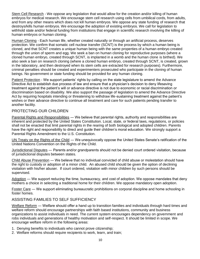Stem Cell Research - We oppose any legislation that would allow for the creation and/or killing of human embryos for medical research. We encourage stem cell research using cells from umbilical cords, from adults, and from any other means which does not kill human embryos. We oppose any state funding of research that destroys/kills human embryos. We encourage the adoption of existing embryos. We call for legislation to withhold state and/or federal funding from institutions that engage in scientific research involving the killing of human embryos or human cloning.

Human Cloning - Each human life, whether created naturally or through an artificial process, deserves protection. We confirm that somatic cell nuclear transfer (SCNT) is the process by which a human being is cloned, and that SCNT creates a unique human being with the same properties of a human embryo created through the union of sperm and egg. We seek a ban on human cloning for reproductive purposes (where a cloned human embryo, created through SCNT, is implanted in a womb and the human clone is birthed). We also seek a ban on research cloning (where a cloned human embryo, created through SCNT, is created, grown in the laboratory, and then destroyed when its stem cells are extracted for research purposes). Furthermore, criminal penalties should be created and experimenters prosecuted who participate in the cloning of human beings. No government or state funding should be provided for any human cloning.

Patient Protection - We support patients' rights by calling on the state legislature to amend the Advance Directive Act to establish due process of law and ensure that a physician's decision to deny lifesaving treatment against the patient's will or advance directive is not due to economic or racial discrimination or discrimination based on disability. We also support the passage of legislation to amend the Advance Directive Act by requiring hospitals intending or threatening to withdraw life-sustaining treatment against the patient's wishes or their advance directive to continue all treatment and care for such patients pending transfer to another facility.

#### PROTECTING OUR CHILDREN

Parental Rights and Responsibilities — We believe that parental rights, authority and responsibilities are inherent and protected by the United States Constitution. Local, state, or federal laws, regulations, or policies shall not be enacted that limit parental rights in the rearing of both biological and adopted children. Parents have the right and responsibility to direct and guide their children's moral education. We strongly support a Parental Rights Amendment to the U.S. Constitution.

UN Treaty on the Rights of the Child ― We unequivocally oppose the United States Senate's ratification of the United Nations Convention on the Rights of the Child.

Jurisdictional Disputes ― Parents and/or grandparents should not be denied court ordered visitation, because of jurisdictional disputes between states.

Child Abuse Prevention ― We believe that no individual convicted of child abuse or molestation should have the right to custody or adoption of a minor child. An abused child should be given the option of declining visitation with his/her abuser. If court ordered, visitation with minor children by such persons should be supervised.

Adoption ― We support reducing the time, bureaucracy, and cost of adoption. We oppose mandates that deny mothers a choice in selecting a traditional home for their children. We oppose mandatory open adoption.

Foster Care ― We support eliminating bureaucratic prohibitions on corporal discipline and home schooling in foster homes.

#### ASSISTING FAMILIES TO SELF SUFFICIENCY

Welfare Reform ― Welfare should offer a hand up to transition families and individuals through hard times and welfare reform should encourage partnerships with faith based institutions, community and business organizations to assist individuals in need. The current system encourages dependency on government and robs individuals and generations of healthy motivation and self-respect. It should be limited in scope. We encourage welfare reform in the following areas:

- 1. Denying benefits to individuals who cannot prove citizenship;
- 2. Welfare reforms should require recipients to work, learn, and train;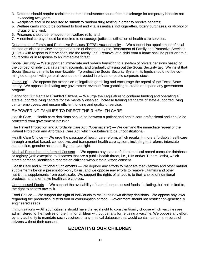- 3. Reforms should require recipients to remain substance abuse free in exchange for temporary benefits not exceeding two years.
- 4. Recipients should be required to submit to random drug testing in order to receive benefits;
- 5. Welfare cards should be confined to food and vital essentials, not cigarettes, lottery purchases, or alcohol or drugs of any kind;
- 6. Prisoners should be removed from welfare rolls; and
- 7. A nominal co-pay should be required to encourage judicious utilization of health care services.

Department of Family and Protective Services (DFPS) Accountability — We support the appointment of local elected officials to review charges of abuse of discretion by the Department of Family and Protective Services (DFPS) with respect to intervention into the family unit. Removal of a child from a home shall be pursuant to a court order or in response to an immediate threat.

Social Security ― We support an immediate and orderly transition to a system of private pensions based on the concept of individual retirement accounts, and gradually phasing out the Social Security tax. We insist that Social Security benefits be non–taxable. To protect the Social Security System, its funds should not be co– mingled or spent with general revenues or invested in private or public corporate stock.

Gambling ― We oppose the expansion of legalized gambling and encourage the repeal of the Texas State lottery. We oppose dedicating any government revenue from gambling to create or expand any government program.

Caring for Our Mentally Disabled Citizens ― We urge the Legislature to continue funding and operating all state-supported living centers for the mentally disabled, increase training standards of state-supported living center employees, and ensure efficient funding and quality of service.

#### EMPOWERING FAMILIES TO DIRECT THEIR HEALTH CARE

Health Care — Health care decisions should be between a patient and health care professional and should be protected from government intrusion.

The Patient Protection and Affordable Care Act ("Obamacare") — We demand the immediate repeal of the Patient Protection and Affordable Care Act, which we believe to be unconstitutional.

Health Care Choice ― We urge the passage of health care reform, which results in more affordable healthcare through a market-based, competitive, and transparent health care system, including tort reform, interstate competition, genuine accountability and oversight.

Medical Records and Informed Consent ― We oppose any state or federal medical record computer database or registry (with exception to diseases that are a public health threat, i.e., HIV and/or Tuberculosis), which stores personal identifiable records on citizens without their written consent.

Health Care and Nutritional Supplements ― We deplore any efforts to mandate that vitamins and other natural supplements be on a prescription–only basis, and we oppose any efforts to remove vitamins and other nutritional supplements from public sale. We support the rights of all adults to their choice of nutritional products, and alternative health care choices.

Unprocessed Foods ― We support the availability of natural, unprocessed foods, including, but not limited to, the right to access raw milk.

Food Choice ― We support the right of individuals to make their own dietary decisions. We oppose any laws regarding the production, distribution or consumption of food. Government should not restrict non-genetically engineered seeds.

Immunizations ― All adult citizens should have the legal right to conscientiously choose which vaccines are administered to themselves or their minor children without penalty for refusing a vaccine. We oppose any effort by any authority to mandate such vaccines or any medical database that would contain personal records of citizens without their consent.

## **EDUCATING OUR CHILDREN**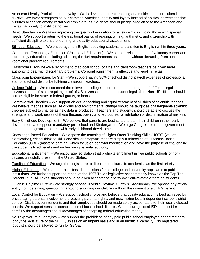American Identity Patriotism and Loyalty – We believe the current teaching of a multicultural curriculum is divisive. We favor strengthening our common American identity and loyalty instead of political correctness that nurtures alienation among racial and ethnic groups. Students should pledge allegiance to the American and Texas flags daily to instill patriotism.

Basic Standards – We favor improving the quality of education for all students, including those with special needs. We support a return to the traditional basics of reading, writing, arithmetic, and citizenship with sufficient discipline to ensure learning and quality educational assessment.

Bilingual Education – We encourage non-English speaking students to transition to English within three years.

Career and Technology Education (Vocational Education) – We support reinstatement of voluntary career and technology education, including adjusting the 4x4 requirements as needed, without detracting from nonvocational program requirements.

Classroom Discipline –We recommend that local school boards and classroom teachers be given more authority to deal with disciplinary problems. Corporal punishment is effective and legal in Texas.

Classroom Expenditures for Staff – We support having 80% of school district payroll expenses of professional staff of a school district be full-time classroom teachers.

College Tuition – We recommend three levels of college tuition: In-state requiring proof of Texas legal citizenship, out-of-state requiring proof of US citizenship, and nonresident legal alien. Non-US citizens should not be eligible for state or federal grants, or loans.

Controversial Theories – We support objective teaching and equal treatment of all sides of scientific theories. We believe theories such as life origins and environmental change should be taught as challengeable scientific theories subject to change as new data is produced. Teachers and students should be able to discuss the strengths and weaknesses of these theories openly and without fear of retribution or discrimination of any kind.

Early Childhood Development – We believe that parents are best suited to train their children in their early development and oppose mandatory pre-school and Kindergarten. We urge Congress to repeal governmentsponsored programs that deal with early childhood development.

Knowledge-Based Education – We oppose the teaching of Higher Order Thinking Skills (HOTS) (values clarification), critical thinking skills and similar programs that are simply a relabeling of Outcome-Based Education (OBE) (mastery learning) which focus on behavior modification and have the purpose of challenging the student's fixed beliefs and undermining parental authority.

Educational Entitlement – We encourage legislation that prohibits enrollment in free public schools of noncitizens unlawfully present in the United States.

Funding of Education – We urge the Legislature to direct expenditures to academics as the first priority.

Higher Education – We support merit-based admissions for all college and university applicants to public institutions. We further support the repeal of the 1997 Texas legislative act commonly known as the Top Ten Percent Rule. All Texas students should be given acceptance priority over out-of-state or foreign students.

Juvenile Daytime Curfew - We strongly oppose Juvenile Daytime Curfews. Additionally, we oppose any official entity from detaining, questioning and/or disciplining our children without the consent of a child's parent.

Local Control for Education – We support school choice and believe that quality education is best achieved by encouraging parental involvement, protecting parental rights, and maximizing local independent school district control. District superintendents and their employees should be made solely accountable to their locally elected boards. We support sensible consolidation of local school districts. We encourage local ISDs to consider carefully the advantages and disadvantages of accepting federal education money.

No Taxpayer Paid Lobbyists – We support the prohibition of any paid public school employee or contractor to lobby the legislature or the SBOE, unless on an unpaid basis and in an unofficial capacity. No registered lobbyist should be allowed to run for SBOE.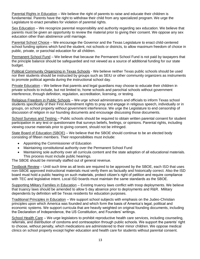Parental Rights in Education – We believe the right of parents to raise and educate their children is fundamental. Parents have the right to withdraw their child from any specialized program. We urge the Legislature to enact penalties for violation of parental rights.

Sex Education – We recognize parental responsibility and authority regarding sex education. We believe that parents must be given an opportunity to review the material prior to giving their consent. We oppose any sex education other than abstinence until marriage.

Parental School Choice – We encourage the Governor and the Texas Legislature to enact child-centered school funding options which fund the student, not schools or districts, to allow maximum freedom of choice in public, private, or parochial education for all children.

Permanent School Fund – We believe that because the Permanent School Fund is not paid by taxpayers that the principle balance should be safeguarded and not viewed as a source of additional funding for our state budget.

Political Community Organizing in Texas Schools - We believe neither Texas public schools should be used nor their students should be instructed by groups such as SEIU or other community organizers as instruments to promote political agenda during the instructional school day.

Private Education – We believe that parents and legal guardians may choose to educate their children in private schools to include, but not limited to, home schools and parochial schools without government interference, through definition, regulation, accreditation, licensing, or testing.

Religious Freedom in Public Schools – We urge school administrators and officials to inform Texas school students specifically of their First Amendment rights to pray and engage in religious speech, individually or in groups, on school property without government interference. We urge the Legislature to end censorship of discussion of religion in our founding documents and encourage discussing those documents.

School Surveys and Testing – Public schools should be required to obtain written parental consent for student participation in any test or questionnaire that surveys beliefs, feelings, or opinions. Parental rights, including viewing course materials prior to giving consent, should not be infringed.

State Board of Education (SBOE) – We believe that the SBOE should continue to be an elected body consisting of fifteen members. Their responsibilities must include:

- Appointing the Commissioner of Education
- Maintaining constitutional authority over the Permanent School Fund
- Maintaining sole authority over all curricula content and the state adoption of all educational materials. This process must include public hearings.

The SBOE should be minimally staffed out of general revenue.

Textbook Review – Until such time as all texts are required to be approved by the SBOE, each ISD that uses non-SBOE approved instructional materials must verify them as factually and historically correct. Also the ISD board must hold a public hearing on such materials, protect citizen's right of petition and require compliance with TEC and legislative intent. Local ISD boards must maintain the same standards as the SBOE.

Supporting Military Families in Education – Existing truancy laws conflict with troop deployments. We believe that truancy laws should be amended to allow 5 day absence prior to deployments and R&R. Military dependents by definition will be Texas residents for education purposes.

Traditional Principles in Education – We support school subjects with emphasis on the Judeo-Christian principles upon which America was founded and which form the basis of America's legal, political and economic systems. We support curricula that are heavily weighted on original founding documents, including the Declaration of Independence, the US Constitution, and Founders' writings.

School Health Care – We urge legislators to prohibit reproductive health care services, including counseling, referrals, and distribution of condoms and contraception through public schools. We support the parents' right to choose, without penalty, which medications are administered to their minor children. We oppose medical clinics on school property except higher education and health care for students without parental consent.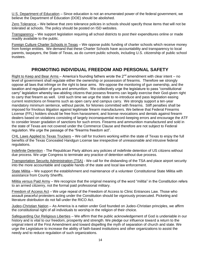U.S. Department of Education – Since education is not an enumerated power of the federal government, we believe the Department of Education (DOE) should be abolished.

Zero Tolerance – We believe that zero tolerance policies in schools should specify those items that will not be tolerated at schools. The policy should be posted on ISD websites.

Transparency – We support legislation requiring all school districts to post their expenditures online or made readily available to the public.

Foreign Culture Charter Schools in Texas – We oppose public funding of charter schools which receive money from foreign entities. We demand that these Charter Schools have accountability and transparency to local parents, taxpayers, the State of Texas, as do current public schools, including U.S. citizenship of public school trustees.

## **PROMOTING INDIVIDUAL FREEDOM AND PERSONAL SAFETY**

Right to Keep and Bear Arms – America's founding fathers wrote the  $2^{nd}$  amendment with clear intent – no level of government shall regulate either the ownership or possession of firearms. Therefore we strongly oppose all laws that infringe on the right to bear arms. We oppose the monitoring of gun ownership, and the taxation and regulation of guns and ammunition. We collectively urge the legislature to pass "constitutional carry" legislation whereby law-abiding citizens that possess firearms can legally exercise their God-given right to carry that firearm as well. Until such time we urge the state to re-introduce and pass legislation easing current restrictions on firearms such as open carry and campus carry. We strongly support a ten-year mandatory minimum sentence, without parole, for felonies committed with firearms. Stiff penalties shall be imposed for frivolous litigation against legitimate firearm manufacturers. We believe that Federal Firearms License (FFL) holders should be free from harassment, and license revocations and denials against firearm dealers based on violations consisting of largely inconsequential record-keeping errors and encourage the ATF to consider lesser gradation of sanctions for such errors. Firearms and ammunition manufactured and sold in the state of Texas are not covered under the Commerce Clause and therefore are not subject to Federal regulation. We urge the passage of the "firearms freedom act".

CHL Laws Applied to Texas Truckers – We call for truckers working within the state of Texas to enjoy the full benefits of the Texas Concealed Handgun License law irrespective of unreasonable and intrusive federal regulations.

Indefinite Detention - The Republican Party abhors any policies of indefinite detention of US citizens without due process. We urge Congress to terminate any practice of detention without due process.

Transportation Security Administration (TSA) - We call for the disbanding of the TSA and place airport security into the more accountable and capable hands of the state and local law enforcement.

State Militia – We support the establishment and maintenance of a volunteer Constitutional State Militia with assistance from County Sheriffs.

Militia versus Paid Army – We recognize that the original meaning of the word "militia" in the Constitution refers to an armed citizenry, not the formal paid professional military.

Freedom of Access Act – We urge repeal of the Freedom of Access to Clinic Entrances Law. Those who assault peaceful protesters acting under the Constitution should be vigorously prosecuted. Picketing and literature distribution do not fall under the RICO Act.

Judeo-Christian Nation – As America is a nation under God founded on Judeo-Christian principles, we affirm the constitutional right of all individuals to worship in the religion of their choice.

Safeguarding Our Religious Liberties – We affirm that the public acknowledgement of God is undeniable in our history and is vital to our freedom, prosperity and strength. We pledge our influence toward a return to the original intent of the First Amendment and toward dispelling the myth of separation of church and state. We urge the Legislature to increase the ability of faith-based institutions and other organizations to assist the needy and to reduce regulation of such organizations.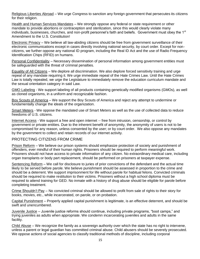Religious Liberties Abroad – We urge Congress to sanction any foreign government that persecutes its citizens for their religion.

Health and Human Services Mandates – We strongly oppose any federal or state requirement or other mandate to provide abortions or contraception and sterilization, since this would clearly violate many individuals, businesses, churches, and non-profit personnel's faith and beliefs. Government must obey the 1<sup>st</sup> Amendment to the U.S. Constitution!

Electronic Privacy – We believe all law-abiding citizens should be free from government surveillance of their electronic communications except in cases directly involving national security, by court order. Except for noncitizens, we further oppose any national ID program, including the Real ID Act and the use of Radio Frequency Identification Chips (RFID) on humans.

Personal Confidentiality – Necessary dissemination of personal information among government entities must be safeguarded with the threat of criminal penalties.

Equality of All Citizens – We deplore all discrimination. We also deplore forced sensitivity training and urge repeal of any mandate requiring it. We urge immediate repeal of the Hate Crimes Law. Until the Hate Crimes Law is totally repealed, we urge the Legislature to immediately remove the education curriculum mandate and the sexual orientation category in said Law.

GMO Labeling - We support labeling of all products containing genetically modified organisms (GMOs), as well as cloned organisms, in a uniform and recognizable fashion.

Boy Scouts of America – We support the Boy Scouts of America and reject any attempt to undermine or fundamentally change the ideals of the organization.

Smart Meters - We oppose the mandated use of Smart Meters as well as the use of collected data to reduce freedoms of U.S. citizens.

Internet Access - We support a free and open internet -- free from intrusion, censorship, or control by government or private entities. Due to the inherent benefit of anonymity, the anonymity of users is not to be compromised for any reason, unless consented by the user; or by court order. We also oppose any mandates by the government to collect and retain records of our internet activity.

#### PROTECTING CITIZENS FROM CRIME

Prison Reform – We believe our prison systems should emphasize protection of society and punishment of offenders, ever mindful of their human rights. Prisoners should be required to perform meaningful work. Prisoners should not have access to private information of any citizen. No extraordinary medical care, including organ transplants or body part replacement, should be performed on prisoners at taxpayer expense.

Sentencing Reform – We call for disclosure to juries of prior convictions of the defendant and the actual time likely to be served before parole. We believe punishment should be assessed in proportion to the crime and should be a deterrent. We support imprisonment for life without parole for habitual felons. Convicted criminals should be required to make restitution to their victims. Prisoners without a high school diploma must be required to attend training for GED. No inmate with a history of drug abuse should be eligible for parole before completing treatment.

Crime Shouldn't Pay – No convicted criminal should be allowed to profit from sale of rights to their story for books, movies, etc., while incarcerated, on parole, or on probation.

Capital Punishment – Properly applied capital punishment is legitimate, is an effective deterrent, and should be swift and unencumbered.

Juvenile Justice – Juvenile justice reforms should continue, including private programs, "boot camps," and trying juveniles as adults when appropriate. We condemn incarcerating juveniles and adults in the same facility.

Child Abuse – We recognize the family as a sovereign authority over which the state has no right to intervene, unless a parent or legal guardian has committed criminal abuse. Child abusers should be severely prosecuted. We oppose actions of social agencies to classify traditional methods of discipline, including corporal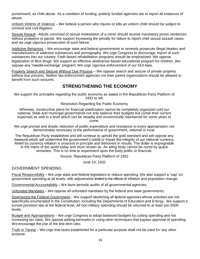punishment, as child abuse. As a condition of funding, publicly funded agencies are to report all instances of abuse.

Unborn Victims of Violence – We believe a person who injures or kills an unborn child should be subject to criminal and civil litigation.

Sexual Assault –Adults convicted of sexual molestation of a minor should receive mandatory prison sentences without probation or parole. We support increasing the penalty for failure to report child sexual assault cases, and we urge vigorous prosecution of such failure.

Addictive Behaviors – We encourage state and federal governments to severely prosecute illegal dealers and manufacturers of addictive substances and pornography. We urge Congress to discourage import of such substances into our country. Faith based rehabilitation programs should be emphasized. We oppose legalization of illicit drugs. We support an effective abstinence-based educational program for children. We oppose any "needle exchange" program. We urge vigorous enforcement of our DUI laws.

Property Search and Seizure Without Due Process – We oppose search and seizure of private property without due process. Neither law enforcement agencies nor their parent organizations should be allowed to benefit from such seizures.

# **STRENGTHENING THE ECONOMY**

We support the principles regarding the public economy as stated in the Republican Party Platform of 1932 to wit:

#### Resolution Regarding the Public Economy

Whereas, constructive plans for financial stabilization cannot be completely organized until our national, State and municipal governments not only balance their budgets but curtail their current expenses as well to a level which can be steadily and economically maintained for some years to come.

We urge prompt and drastic reduction of public expenditure and resistance to every appropriation not demonstrably necessary to the performance of government, national or local.

The Republican Party established and will continue to uphold the gold standard and will oppose any measure which will undermine the government's credit or impair the integrity of our national currency. Relief by currency inflation is unsound in principle and dishonest in results. The dollar is impregnable in the marts of the world today and must remain so. An ailing body cannot be cured by quack remedies. This is no time to experiment upon the body politic or financial.

Source: Republican Party Platform of 1932

June 14, 1932

#### GOVERNMENT SPENDING

Fiscal Responsibility – We urge state and federal legislators to reduce spending. We also support a "cap" on government spending at all levels, with adjustments limited to the effects of inflation and population change.

Governmental Accountability – We favor periodic audits of all governmental agencies.

Unfunded Mandates – We oppose all unfunded mandates by the federal and state governments.

Downsizing the Federal Government – We support abolishing all federal agencies whose activities are not specifically enumerated in the Constitution; including the Departments of Education and Energy. We support a sunset provision law at the federal level. All non-military spending should be returned to at least pre-2008 levels.

Budget and Appropriations – We urge Congress to adopt balanced budgets by cutting spending and not increasing tax rates. We oppose adding earmarks or using other techniques that bypass approval of spending. We encourage the use of the line-item veto.

Truth in Taxing – We urge that taxes established for a particular purpose shall not be used for any other purpose.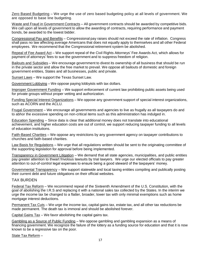Zero Based Budgeting – We urge the use of zero based budgeting policy at all levels of government. We are opposed to base line budgeting.

Waste and Fraud in Government Contracts – All government contracts should be awarded by competitive bids. We call upon all levels of government to allow the awarding of contracts, requiring performance and payment bonds, be awarded to the lowest bidder.

Congressional Pay and Benefits – Congressional pay raises should not exceed the rate of inflation. Congress shall pass no law affecting average Americans that does not equally apply to themselves and all other Federal employees. We recommend that the Congressional retirement system be abolished.

Repeal of Fee Award Act – We support repeal of the Civil Rights Attorneys' Fee Awards Act, which allows for payment of attorneys' fees to sue the government and to suppress freedom of religion.

Bailouts and Subsidies – We encourage government to divest its ownership of all business that should be run in the private sector and allow the free market to prevail. We oppose all bailouts of domestic and foreign government entities, States and all businesses, public and private.

Sunset Laws – We support the Texas Sunset Law.

Government Lobbying – We oppose paying lobbyists with tax dollars.

Improper Government Funding – We support enforcement of current law prohibiting public assets being used for private groups without proper vetting and authorization.

Funding Special Interest Organizations – We oppose any government support of special interest organizations, such as ACORN and the ACLU.

Frugal Government – We encourage all governments and agencies to live as frugally as all taxpayers do and to abhor the excessive spending on non-critical items such as this administration has indulged in.

Education Spending – Since data is clear that additional money does not translate into educational achievement, and higher education costs are out of control, we support reducing taxpayer funding to all levels of education institutions.

Faith-Based Charities – We oppose any restrictions by any government agency on taxpayer contributions to churches and faith-based charities.

Law Basis for Regulations – We urge that all regulations written should be sent to the originating committee of the supporting legislation for approval before being implemented.

Transparency in Government Litigation – We demand that all state agencies, municipalities, and public entities pay greater attention to thwart frivolous lawsuits by trial lawyers. We urge our elected officials to pay greater attention to out-of-control legal expenses to ensure being a good steward of the taxpayers' money.

Governmental Transparency – We support statewide and local taxing entities compiling and publically posting their current debt and future obligations on their official websites.

#### TAX BURDEN

Federal Tax Reform – We recommend repeal of the Sixteenth Amendment of the U.S. Constitution, with the goal of abolishing the I.R.S and replacing it with a national sales tax collected by the States. In the interim we urge the income tax be changed to a flatter, broader, lower tax with only minimal exemptions such as home mortgage interest deductions.

Permanent Tax Cuts – We urge the income tax, capital gains tax, estate tax, and all other tax reductions be made permanent. The death tax is immoral and should be abolished forever.

Capital Gains Tax – We favor abolishing the capital gains tax.

Gambling as a Source of Public Funding – We oppose gambling and gambling expansion as a means of financing government. We recognize the failure of the lottery as a funding source for education and that it is now known to be a regressive tax on the poor.

State Tax Reform –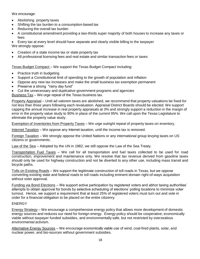We encourage:

- Abolishing property taxes
- Shifting the tax burden to a consumption-based tax
- Reducing the overall tax burden
- A constitutional amendment providing a two-thirds super majority of both houses to increase any taxes or fees
- Every tax at every level should have separate and clearly visible billing to the taxpayer We strongly oppose:
- Creation of a state income tax or state property tax
- All professional licensing fees and real estate and similar transaction fees or taxes

Texas Budget Compact – We support the Texas Budget Compact including:

- Practice truth in budgeting
- Support a Constitutional limit of spending to the growth of population and inflation
- Oppose any new tax increases and make the small business tax exemption permanent
- Preserve a strong "rainy day fund"
- Cut the unnecessary and duplicative government programs and agencies

Business Tax – We urge repeal of the Texas business tax.

Property Appraisal – Until ad valorem taxes are abolished, we recommend that property valuations be fixed for not less than three years following each revaluation. Appraisal District Boards should be elected. We support capping the annual increase in real property appraisals at 3% and strongly support a reduction in the margin of error in the property value study to 90% in place of the current 95%. We call upon the Texas Legislature to eliminate the property value study.

Exemption of Inventories from Property Taxes – We urge outright repeal of property taxes on inventory.

Internet Taxation – We oppose any Internet taxation, until the income tax is removed.

Foreign Taxation – We strongly oppose the United Nations or any international group levying taxes on US citizens or governments.

Law of the Sea – Adopted by the UN in 1982, we still oppose the Law of the Sea Treaty.

Transportation Fuel Taxes – We call for all transportation and fuel taxes collected to be used for road construction, improvement and maintenance only. We resolve that tax revenue derived from gasoline taxes should only be used for highway construction and not be diverted to any other use, including mass transit and bicycle paths.

Tolls on Existing Roads – We support the legitimate construction of toll roads in Texas, but we oppose converting existing state and federal roads to toll roads including eminent domain right-of-ways acquisition without voter approval.

Funding via Bond Elections – We support active participation by registered voters and abhor taxing authorities' attempts to obtain approval for bonds by selective scheduling of elections' polling locations to minimize voter turnout. Hence, we support a requirement that at least 25% of registered voters must turn out and vote in order for a financial obligation to be placed on the entire citizenry.

#### ENERGY

Energy Strategy – We encourage a comprehensive energy policy that allows more development of domestic energy sources and reduces our need for foreign energy. Energy policy should be cooperative, economically viable without taxpayer funded subsidies, and environmentally safe, but not restricted by overzealous environmental activism.

Alternative Energy Sources – We encourage economically viable use of wind, coal-fired plants, solar, and nuclear power, and bio-sources without government subsidies.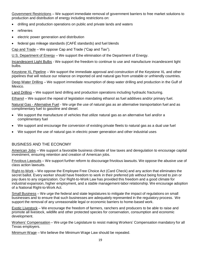Government Restrictions – We support immediate removal of government barriers to free market solutions to production and distribution of energy including restrictions on:

- drilling and production operations on public and private lands and waters
- refineries
- electric power generation and distribution
- federal gas mileage standards (CAFÉ standards) and fuel blends

Cap and Trade – We oppose Cap and Trade ("Cap and Tax").

U.S. Department of Energy – We support the elimination of the Department of Energy.

Incandescent Light Bulbs - We support the freedom to continue to use and manufacture incandescent light bulbs.

Keystone XL Pipeline – We support the immediate approval and construction of the Keystone XL and other pipelines that will reduce our reliance on imported oil and natural gas from unstable or unfriendly countries.

Deep Water Drilling – We support immediate resumption of deep water drilling and production in the Gulf of Mexico.

Land Drilling – We support land drilling and production operations including hydraulic fracturing.

Ethanol – We support the repeal of legislation mandating ethanol as fuel additives and/or primary fuel.

Natural Gas - Alternative Fuel - We urge the use of natural gas as an alternative transportation fuel and as complimentary fuel to gasoline and diesel.

- We support the manufacture of vehicles that utilize natural gas as an alternative fuel and/or a complimentary fuel
- We support and encourage the conversion of existing private fleets to natural gas as a dual use fuel
- We support the use of natural gas in electric power generation and other industrial uses

## BUSINESS AND THE ECONOMY

American Jobs – We support a favorable business climate of low taxes and deregulation to encourage capital investment, ensuring retention and creation of American jobs.

Frivolous Lawsuits – We support further reform to discourage frivolous lawsuits. We oppose the abusive use of class action lawsuits.

Right-to-Work – We oppose the Employee Free Choice Act (Card Check) and any action that eliminates the secret ballot. Every worker should have freedom to work in their preferred job without being forced to join or pay dues to any organization. Our Right-to-Work Law has provided this freedom and a good climate for industrial expansion, higher employment, and a stable management-labor relationship. We encourage adoption of a National Right-to-Work Act.

Small Business – We urge the federal and state legislatures to mitigate the impact of regulations on small businesses and to ensure that such businesses are adequately represented in the regulatory process. We support the removal of any unreasonable legal or economic barriers to home-based work.

Exotic Livestock – We encourage the freedom of farmers, ranchers and producers to be able to raise and promote all livestock, wildlife and other protected species for conservation, consumption and economic development.

Workers' Compensation – We urge the Legislature to resist making Workers' Compensation mandatory for all Texas employers.

Minimum Wage – We believe the Minimum Wage Law should be repealed.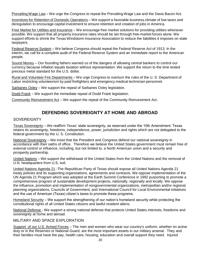Prevailing Wage Law – We urge the Congress to repeal the Prevailing Wage Law and the Davis Bacon Act.

Incentives for Retention of Domestic Operations – We support a favorable business climate of low taxes and deregulation to encourage capital investment to ensure retention and creation of jobs in America.

Free Market for Utilities and Insurance – We encourage free market solutions for providing utilities whenever possible. We support that all property insurance rates should be set through free-market forces alone. We support efforts to shrink the Texas Windstorm Insurance Association to reduce the liabilities it imposes on state taxpayers.

Federal Reserve System – We believe Congress should repeal the Federal Reserve Act of 1913. In the interim, we call for a complete audit of the Federal Reserve System and an immediate report to the American people.

Sound Money – Our founding fathers warned us of the dangers of allowing central bankers to control our currency because inflation equals taxation without representation. We support the return to the time tested precious metal standard for the U.S. dollar.

Rural and Volunteer Fire Departments – We urge Congress to overturn the rules of the U. S. Department of Labor restricting volunteerism by paid firefighters and emergency medical technician personnel.

Sarbanes Oxley – We support the repeal of Sarbanes Oxley legislation.

Dodd Frank – We support the immediate repeal of Dodd Frank legislation.

Community Reinvestment Act – We support the repeal of the Community Reinvestment Act.

## **DEFENDING SOVEREIGNTY AT HOME AND ABROAD**

#### **SOVEREIGNTY**

Texas Sovereignty – We reaffirm Texas' state sovereignty, as reserved under the 10th Amendment. Texas retains its sovereignty, freedoms, independence, power, jurisdiction and rights which are not delegated to the federal government by the U. S. Constitution.

National Sovereignty – We insist that the President and Congress defend our national sovereignty in accordance with their oaths of office. Therefore we believe the United States government must remain free of external control or influence, including, but not limited to, a North American union and a security and prosperity partnership.

United Nations – We support the withdrawal of the United States from the United Nations and the removal of U.N. headquarters from U.S. soil.

United Nations Agenda 21 -The Republican Party of Texas should expose all United Nations Agenda 21 treaty policies and its supporting organizations, agreements and contracts. We oppose implementation of the UN Agenda 21 Program which was adopted at the Earth Summit Conference in 1992 purporting to promote a comprehensive program of sustainable development projects, nationally, regionally and locally. We oppose the influence, promotion and implementation of nongovernmental organizations, metropolitan and/or regional planning organizations, Councils of Government, and International Council for Local Environmental initiatives and the use of American (Texas) citizen's taxes to promote these programs.

Homeland Security – We support the strengthening of our nation's homeland security while protecting the constitutional rights of all United States citizens and lawful resident aliens.

National Defense - We support a strong national defense that protects United States interests, freedoms and sovereignty at home and abroad.

#### MILITARY AND SPACE EXPLORATION

Support of our U.S. Armed Forces – The men and women who wear our country's uniform, whether on active duty or in the Reserves or National Guard, are the most important assets in our military arsenal. They and their families must have the pay, health care, housing, education and overall support they need. Injured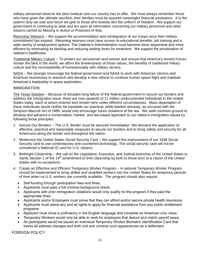military personnel deserve the best medical care our country has to offer. We must always remember those who have given the ultimate sacrifice; their families must be assured meaningful financial assistance. It is the solemn duty we owe and honor we give to those who bravely don the uniform of freedom. We support our government in continuing to seek and act upon all information concerning our military personnel and other citizens carried as Missing in Action or Prisoners of War.

Returning Veterans – We support the accommodation and reintegration of our troops once their military commitment has expired. Returning veterans must have access to educational benefits, job training and a wide variety of employment options. The Veteran's Administration must become more responsive and more efficient by eliminating its backlog and reducing waiting times for treatment. We support the privatization of veteran's healthcare.

Traditional Military Culture – To protect our serviceman and women and ensure that America's Armed Forces remain the best in the world, we affirm the timelessness of those values, the benefits of traditional military culture and the incompatibility of homosexuality with military service.

NASA – We strongly encourage the federal government and NASA to work with American citizens and American businesses to research and develop a new vehicle to continue human space flight and maintain American's leadership in space exploration.

#### IMMIGRATION

The Texas Solution – Because of decades-long failure of the federal government to secure our borders and address the immigration issue, there are now upwards of 11 million undocumented individuals in the United States today, each of whom entered and remain here under different circumstances. Mass deportation of these individuals would neither be equitable nor practical; while blanket amnesty, as occurred with the Simpson-Mazzoli Act of 1986, would only encourage future violations of the law. We seek common ground to develop and advance a conservative, market- and law-based approach to our nation's immigration issues by following these principles:

- 1. Secure Our Borders The U.S. Border must be secured immediately! We demand the application of effective, practical and reasonable measures to secure our borders and to bring safety and security for all Americans along the border and throughout the nation.
- 2. Modernize the United States Social Security Card We support the improvement of our 1936 Social Security card to use contemporary anti-counterfeit technology. The social security card will not be considered a National ID card for U.S. citizens.
- 3. Birthright Citizenship We call on the Legislative, Executive, and Judicial branches of the United States to clarify Section 1 of the 14<sup>th</sup> amendment to limit citizenship by birth to those born to a citizen of the United States with no exceptions.
- 4. Create an Effective and Efficient Temporary Worker Program A national Temporary Worker Program should be implemented to bring skilled and unskilled workers into the United States for temporary periods of time when no U.S. workers are currently available. The program should also require:
	- Self-funding through participation fees and fines;
	- Applicants must pass a full criminal background check;
	- Applicants with prior immigration violations would only qualify for the program if they paid the appropriate fines;
	- Applicants and/or Employers must prove that they can afford and/or secure private health insurance;
	- Applicants must waive any and all rights to apply for financial assistance from any public entitlement programs;
	- Applicant must show a proficiency in the English language and complete an American civic class;
	- Temporary Workers would only be able to work for employers that deduct and match payroll taxes;
	- All participants would be issued an individual Temporary-Worker Biometric Identification Card that tracks all address changes and both civil and criminal court appearances as a defendant.

FOREIGN POLICY